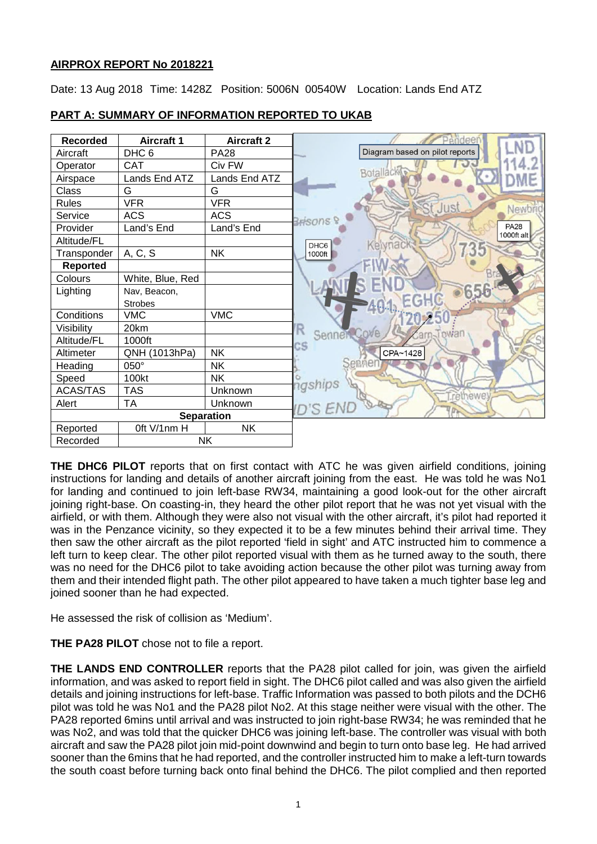## **AIRPROX REPORT No 2018221**

Date: 13 Aug 2018 Time: 1428Z Position: 5006N 00540W Location: Lands End ATZ



# **PART A: SUMMARY OF INFORMATION REPORTED TO UKAB**

**THE DHC6 PILOT** reports that on first contact with ATC he was given airfield conditions, joining instructions for landing and details of another aircraft joining from the east. He was told he was No1 for landing and continued to join left-base RW34, maintaining a good look-out for the other aircraft joining right-base. On coasting-in, they heard the other pilot report that he was not yet visual with the airfield, or with them. Although they were also not visual with the other aircraft, it's pilot had reported it was in the Penzance vicinity, so they expected it to be a few minutes behind their arrival time. They then saw the other aircraft as the pilot reported 'field in sight' and ATC instructed him to commence a left turn to keep clear. The other pilot reported visual with them as he turned away to the south, there was no need for the DHC6 pilot to take avoiding action because the other pilot was turning away from them and their intended flight path. The other pilot appeared to have taken a much tighter base leg and joined sooner than he had expected.

He assessed the risk of collision as 'Medium'.

**THE PA28 PILOT** chose not to file a report.

**THE LANDS END CONTROLLER** reports that the PA28 pilot called for join, was given the airfield information, and was asked to report field in sight. The DHC6 pilot called and was also given the airfield details and joining instructions for left-base. Traffic Information was passed to both pilots and the DCH6 pilot was told he was No1 and the PA28 pilot No2. At this stage neither were visual with the other. The PA28 reported 6mins until arrival and was instructed to join right-base RW34; he was reminded that he was No2, and was told that the quicker DHC6 was joining left-base. The controller was visual with both aircraft and saw the PA28 pilot join mid-point downwind and begin to turn onto base leg. He had arrived sooner than the 6mins that he had reported, and the controller instructed him to make a left-turn towards the south coast before turning back onto final behind the DHC6. The pilot complied and then reported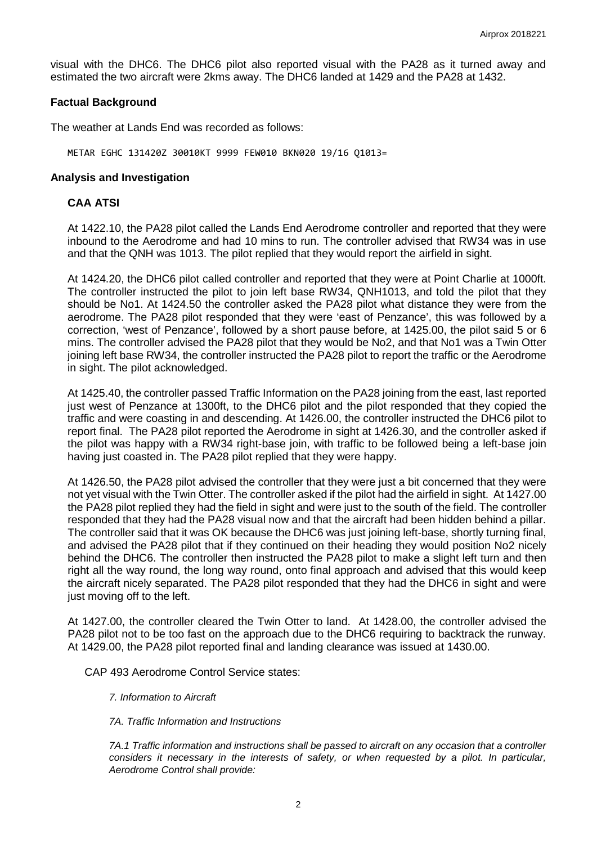visual with the DHC6. The DHC6 pilot also reported visual with the PA28 as it turned away and estimated the two aircraft were 2kms away. The DHC6 landed at 1429 and the PA28 at 1432.

#### **Factual Background**

The weather at Lands End was recorded as follows:

METAR EGHC 131420Z 30010KT 9999 FEW010 BKN020 19/16 Q1013=

#### **Analysis and Investigation**

#### **CAA ATSI**

At 1422.10, the PA28 pilot called the Lands End Aerodrome controller and reported that they were inbound to the Aerodrome and had 10 mins to run. The controller advised that RW34 was in use and that the QNH was 1013. The pilot replied that they would report the airfield in sight.

At 1424.20, the DHC6 pilot called controller and reported that they were at Point Charlie at 1000ft. The controller instructed the pilot to join left base RW34, QNH1013, and told the pilot that they should be No1. At 1424.50 the controller asked the PA28 pilot what distance they were from the aerodrome. The PA28 pilot responded that they were 'east of Penzance', this was followed by a correction, 'west of Penzance', followed by a short pause before, at 1425.00, the pilot said 5 or 6 mins. The controller advised the PA28 pilot that they would be No2, and that No1 was a Twin Otter joining left base RW34, the controller instructed the PA28 pilot to report the traffic or the Aerodrome in sight. The pilot acknowledged.

At 1425.40, the controller passed Traffic Information on the PA28 joining from the east, last reported just west of Penzance at 1300ft, to the DHC6 pilot and the pilot responded that they copied the traffic and were coasting in and descending. At 1426.00, the controller instructed the DHC6 pilot to report final. The PA28 pilot reported the Aerodrome in sight at 1426.30, and the controller asked if the pilot was happy with a RW34 right-base join, with traffic to be followed being a left-base join having just coasted in. The PA28 pilot replied that they were happy.

At 1426.50, the PA28 pilot advised the controller that they were just a bit concerned that they were not yet visual with the Twin Otter. The controller asked if the pilot had the airfield in sight. At 1427.00 the PA28 pilot replied they had the field in sight and were just to the south of the field. The controller responded that they had the PA28 visual now and that the aircraft had been hidden behind a pillar. The controller said that it was OK because the DHC6 was just joining left-base, shortly turning final, and advised the PA28 pilot that if they continued on their heading they would position No2 nicely behind the DHC6. The controller then instructed the PA28 pilot to make a slight left turn and then right all the way round, the long way round, onto final approach and advised that this would keep the aircraft nicely separated. The PA28 pilot responded that they had the DHC6 in sight and were just moving off to the left.

At 1427.00, the controller cleared the Twin Otter to land. At 1428.00, the controller advised the PA28 pilot not to be too fast on the approach due to the DHC6 requiring to backtrack the runway. At 1429.00, the PA28 pilot reported final and landing clearance was issued at 1430.00.

CAP 493 Aerodrome Control Service states:

- *7. Information to Aircraft*
- *7A. Traffic Information and Instructions*

*7A.1 Traffic information and instructions shall be passed to aircraft on any occasion that a controller considers it necessary in the interests of safety, or when requested by a pilot. In particular, Aerodrome Control shall provide:*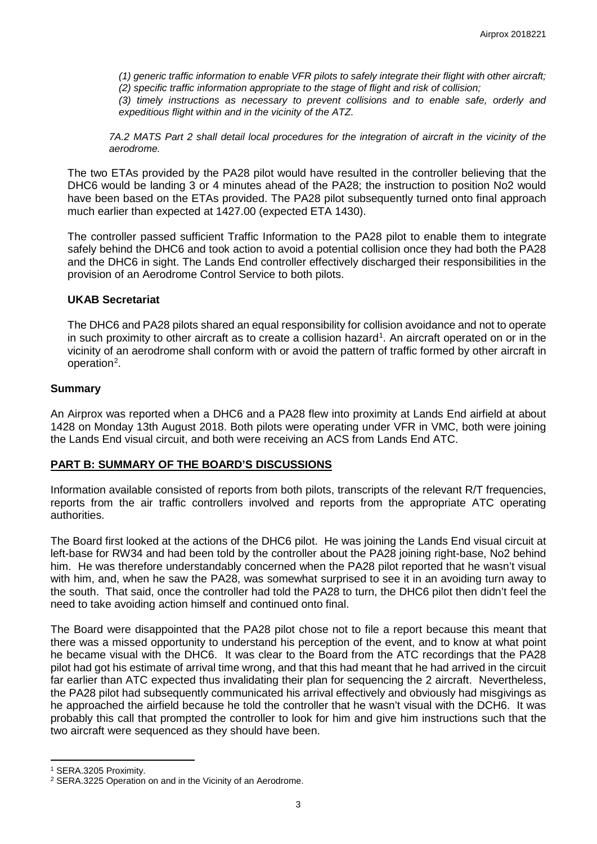*(1) generic traffic information to enable VFR pilots to safely integrate their flight with other aircraft; (2) specific traffic information appropriate to the stage of flight and risk of collision;* 

*(3) timely instructions as necessary to prevent collisions and to enable safe, orderly and expeditious flight within and in the vicinity of the ATZ.*

*7A.2 MATS Part 2 shall detail local procedures for the integration of aircraft in the vicinity of the aerodrome.* 

The two ETAs provided by the PA28 pilot would have resulted in the controller believing that the DHC6 would be landing 3 or 4 minutes ahead of the PA28; the instruction to position No2 would have been based on the ETAs provided. The PA28 pilot subsequently turned onto final approach much earlier than expected at 1427.00 (expected ETA 1430).

The controller passed sufficient Traffic Information to the PA28 pilot to enable them to integrate safely behind the DHC6 and took action to avoid a potential collision once they had both the PA28 and the DHC6 in sight. The Lands End controller effectively discharged their responsibilities in the provision of an Aerodrome Control Service to both pilots.

### **UKAB Secretariat**

The DHC6 and PA28 pilots shared an equal responsibility for collision avoidance and not to operate in such proximity to other aircraft as to create a collision hazard<sup>[1](#page-2-0)</sup>. An aircraft operated on or in the vicinity of an aerodrome shall conform with or avoid the pattern of traffic formed by other aircraft in operation<sup>[2](#page-2-1)</sup>.

### **Summary**

An Airprox was reported when a DHC6 and a PA28 flew into proximity at Lands End airfield at about 1428 on Monday 13th August 2018. Both pilots were operating under VFR in VMC, both were joining the Lands End visual circuit, and both were receiving an ACS from Lands End ATC.

## **PART B: SUMMARY OF THE BOARD'S DISCUSSIONS**

Information available consisted of reports from both pilots, transcripts of the relevant R/T frequencies, reports from the air traffic controllers involved and reports from the appropriate ATC operating authorities.

The Board first looked at the actions of the DHC6 pilot. He was joining the Lands End visual circuit at left-base for RW34 and had been told by the controller about the PA28 joining right-base, No2 behind him. He was therefore understandably concerned when the PA28 pilot reported that he wasn't visual with him, and, when he saw the PA28, was somewhat surprised to see it in an avoiding turn away to the south. That said, once the controller had told the PA28 to turn, the DHC6 pilot then didn't feel the need to take avoiding action himself and continued onto final.

The Board were disappointed that the PA28 pilot chose not to file a report because this meant that there was a missed opportunity to understand his perception of the event, and to know at what point he became visual with the DHC6. It was clear to the Board from the ATC recordings that the PA28 pilot had got his estimate of arrival time wrong, and that this had meant that he had arrived in the circuit far earlier than ATC expected thus invalidating their plan for sequencing the 2 aircraft. Nevertheless, the PA28 pilot had subsequently communicated his arrival effectively and obviously had misgivings as he approached the airfield because he told the controller that he wasn't visual with the DCH6. It was probably this call that prompted the controller to look for him and give him instructions such that the two aircraft were sequenced as they should have been.

l

<span id="page-2-0"></span><sup>1</sup> SERA.3205 Proximity.

<span id="page-2-1"></span><sup>2</sup> SERA.3225 Operation on and in the Vicinity of an Aerodrome.